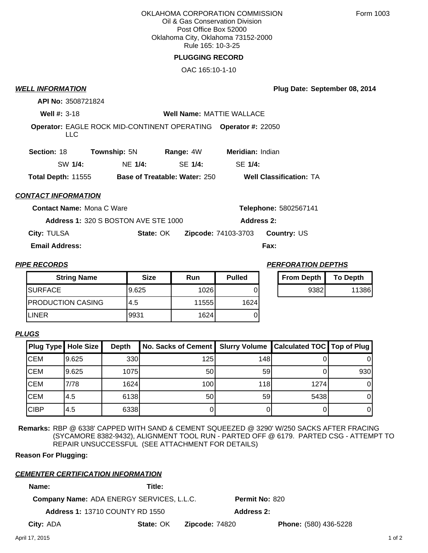OKLAHOMA CORPORATION COMMISSION Oil & Gas Conservation Division Post Office Box 52000 Oklahoma City, Oklahoma 73152-2000 Rule 165: 10-3-25

# **PLUGGING RECORD**

OAC 165:10-1-10

# **WELL INFORMATION**

**Plug Date: September 08, 2014**

**API No:** 3508721824

**Well #:** 3-18 **Well Name:** MATTIE WALLACE

**Operator:** EAGLE ROCK MID-CONTINENT OPERATING **Operator #:** 22050

LLC

| <b>Section: 18</b> | <b>Township: 5N</b> |         | Range: 4W                            | <b>Meridian: Indian</b>        |  |
|--------------------|---------------------|---------|--------------------------------------|--------------------------------|--|
| SW 1/4:            |                     | NE 1/4: | SE 1/4:                              | SE 1/4:                        |  |
| Total Depth: 11555 |                     |         | <b>Base of Treatable: Water: 250</b> | <b>Well Classification: TA</b> |  |

## **CONTACT INFORMATION**

**Contact Name:** Mona C Ware

**Address 1:** 320 S BOSTON AVE STE 1000 **Address 2:**

**City:** TULSA **State:** OK **Zipcode:** 74103-3703 **Country:** US

**Email Address: Fax:**

| <b>String Name</b>       | <b>Size</b> | Run    | <b>Pulled</b> |
|--------------------------|-------------|--------|---------------|
| <b>SURFACE</b>           | 9.625       | 10261  |               |
| <b>PRODUCTION CASING</b> | 4.5         | 115551 | 1624          |
| <b>LINER</b>             | 19931       | 1624   |               |

### **PIPE RECORDS PERFORATION DEPTHS**

**Telephone:** 5802567141

| From Depth | <b>To Depth</b> |  |
|------------|-----------------|--|
| 93821      | 11386           |  |

### **PLUGS**

| <b>Plug Type Hole Size</b> |       | <b>Depth</b> | No. Sacks of Cement   Slurry Volume   Calculated TOC   Top of Plug |     |      |     |
|----------------------------|-------|--------------|--------------------------------------------------------------------|-----|------|-----|
| <b>CEM</b>                 | 9.625 | 330          | 125                                                                | 148 |      |     |
| <b>CEM</b>                 | 9.625 | 1075         | 50                                                                 | 59  |      | 930 |
| <b>CEM</b>                 | 7/78  | 1624         | 100                                                                | 118 | 1274 |     |
| <b>ICEM</b>                | 4.5   | 6138         | 50                                                                 | 59  | 5438 |     |
| <b>CIBP</b>                | 4.5   | 6338         |                                                                    |     |      |     |

**Remarks:** RBP @ 6338' CAPPED WITH SAND & CEMENT SQUEEZED @ 3290' W/250 SACKS AFTER FRACING (SYCAMORE 8382-9432), ALIGNMENT TOOL RUN - PARTED OFF @ 6179. PARTED CSG - ATTEMPT TO REPAIR UNSUCCESSFUL (SEE ATTACHMENT FOR DETAILS)

**Reason For Plugging:**

# **CEMENTER CERTIFICATION INFORMATION**

**Name: Title:**

**Company Name:** ADA ENERGY SERVICES, L.L.C.

**Permit No:** 820

**Address 1:** 13710 COUNTY RD 1550 **Address 2:**

**City:**

**State: OK Zipcode: 74820 Phone: (580) 436-5228**